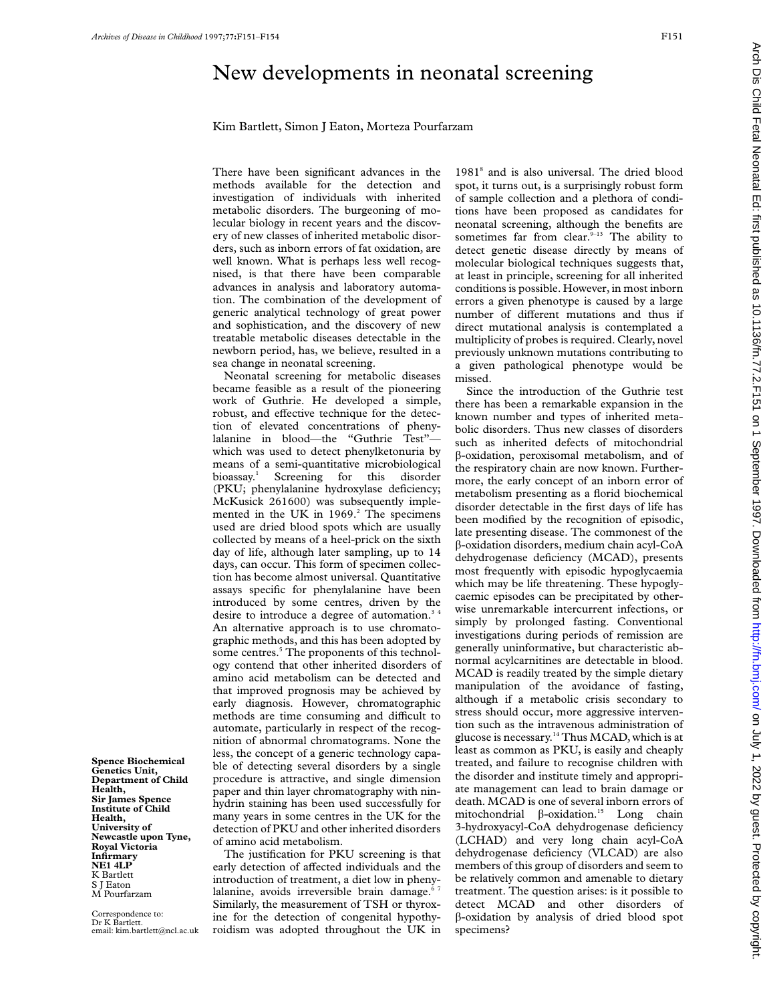## New developments in neonatal screening

Kim Bartlett, Simon J Eaton, Morteza Pourfarzam

There have been significant advances in the methods available for the detection and investigation of individuals with inherited metabolic disorders. The burgeoning of molecular biology in recent years and the discovery of new classes of inherited metabolic disorders, such as inborn errors of fat oxidation, are well known. What is perhaps less well recognised, is that there have been comparable advances in analysis and laboratory automation. The combination of the development of generic analytical technology of great power and sophistication, and the discovery of new treatable metabolic diseases detectable in the newborn period, has, we believe, resulted in a sea change in neonatal screening.

Neonatal screening for metabolic diseases became feasible as a result of the pioneering work of Guthrie. He developed a simple, robust, and effective technique for the detection of elevated concentrations of phenylalanine in blood—the "Guthrie Test" which was used to detect phenylketonuria by means of a semi-quantitative microbiological bioassay.<sup>1</sup> Screening for this disorder (PKU; phenylalanine hydroxylase deficiency; McKusick 261600) was subsequently implemented in the UK in 1969.<sup>2</sup> The specimens used are dried blood spots which are usually collected by means of a heel-prick on the sixth day of life, although later sampling, up to 14 days, can occur. This form of specimen collection has become almost universal. Quantitative assays specific for phenylalanine have been introduced by some centres, driven by the desire to introduce a degree of automation.<sup>3</sup> An alternative approach is to use chromatographic methods, and this has been adopted by some centres.<sup>5</sup> The proponents of this technology contend that other inherited disorders of amino acid metabolism can be detected and that improved prognosis may be achieved by early diagnosis. However, chromatographic methods are time consuming and difficult to automate, particularly in respect of the recognition of abnormal chromatograms. None the less, the concept of a generic technology capable of detecting several disorders by a single procedure is attractive, and single dimension paper and thin layer chromatography with ninhydrin staining has been used successfully for many years in some centres in the UK for the detection of PKU and other inherited disorders of amino acid metabolism.

The justification for PKU screening is that early detection of affected individuals and the introduction of treatment, a diet low in phenylalanine, avoids irreversible brain damage.<sup>67</sup> Similarly, the measurement of TSH or thyroxine for the detection of congenital hypothyroidism was adopted throughout the UK in

1981<sup>8</sup> and is also universal. The dried blood spot, it turns out, is a surprisingly robust form of sample collection and a plethora of conditions have been proposed as candidates for neonatal screening, although the benefits are sometimes far from clear. $9-13$  The ability to detect genetic disease directly by means of molecular biological techniques suggests that, at least in principle, screening for all inherited conditions is possible. However, in most inborn errors a given phenotype is caused by a large number of different mutations and thus if direct mutational analysis is contemplated a multiplicity of probes is required. Clearly, novel previously unknown mutations contributing to a given pathological phenotype would be missed.

Since the introduction of the Guthrie test there has been a remarkable expansion in the known number and types of inherited metabolic disorders. Thus new classes of disorders such as inherited defects of mitochondrial â-oxidation, peroxisomal metabolism, and of the respiratory chain are now known. Furthermore, the early concept of an inborn error of metabolism presenting as a florid biochemical disorder detectable in the first days of life has been modified by the recognition of episodic, late presenting disease. The commonest of the â-oxidation disorders, medium chain acyl-CoA dehydrogenase deficiency (MCAD), presents most frequently with episodic hypoglycaemia which may be life threatening. These hypoglycaemic episodes can be precipitated by otherwise unremarkable intercurrent infections, or simply by prolonged fasting. Conventional investigations during periods of remission are generally uninformative, but characteristic abnormal acylcarnitines are detectable in blood. MCAD is readily treated by the simple dietary manipulation of the avoidance of fasting, although if a metabolic crisis secondary to stress should occur, more aggressive intervention such as the intravenous administration of glucose is necessary.14 Thus MCAD, which is at least as common as PKU, is easily and cheaply treated, and failure to recognise children with the disorder and institute timely and appropriate management can lead to brain damage or death. MCAD is one of several inborn errors of mitochondrial  $\beta$ -oxidation.<sup>15</sup> Long chain 3-hydroxyacyl-CoA dehydrogenase deficiency (LCHAD) and very long chain acyl-CoA dehydrogenase deficiency (VLCAD) are also members of this group of disorders and seem to be relatively common and amenable to dietary treatment. The question arises: is it possible to detect MCAD and other disorders of â-oxidation by analysis of dried blood spot specimens?

**Spence Biochemical Genetics Unit, Department of Child Health, Sir James Spence Institute of Child Health, University of Newcastle upon Tyne, Royal Victoria Infirmary NE1 4LP** K Bartlett S J Eaton M Pourfarzam

Correspondence to: Dr K Bartlett. email: kim.bartlett@ncl.ac.uk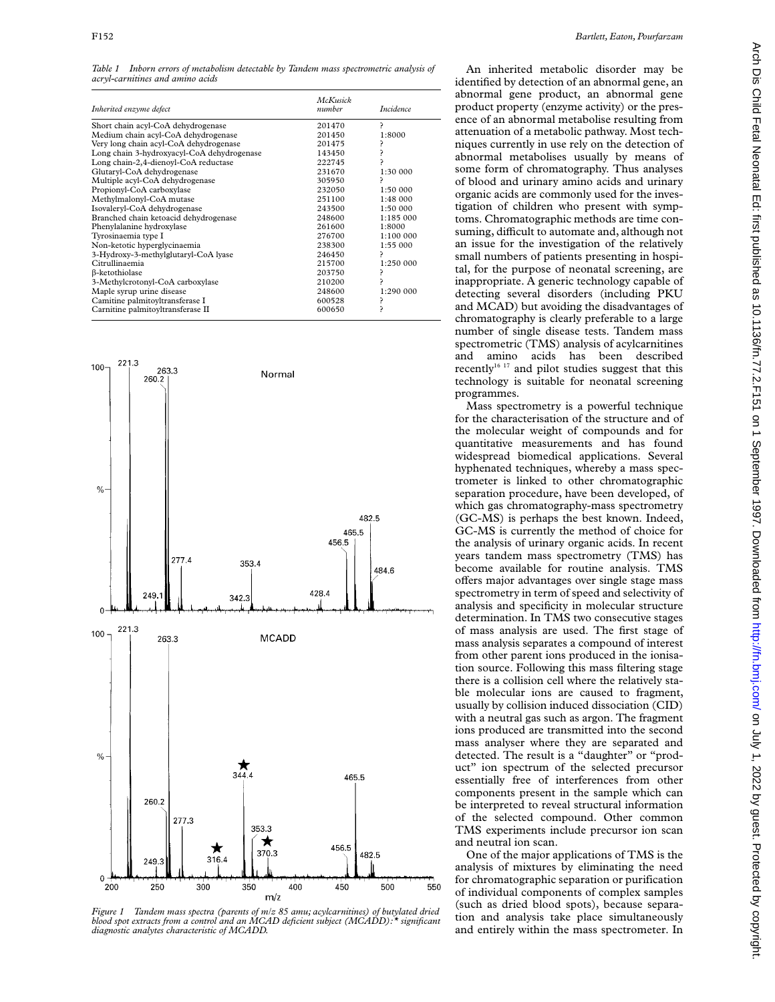*Table 1 Inborn errors of metabolism detectable by Tandem mass spectrometric analysis of acryl-carnitines and amino acids*

| Inherited enzyme defect                    | McKusick<br>number | Incidence |
|--------------------------------------------|--------------------|-----------|
| Short chain acyl-CoA dehydrogenase         | 201470             | ς         |
| Medium chain acyl-CoA dehydrogenase        | 201450             | 1:8000    |
| Very long chain acyl-CoA dehydrogenase     | 201475             |           |
| Long chain 3-hydroxyacyl-CoA dehydrogenase | 143450             |           |
| Long chain-2,4-dienoyl-CoA reductase       | 222745             |           |
| Glutaryl-CoA dehydrogenase                 | 231670             | 1:30 000  |
| Multiple acyl-CoA dehydrogenase            | 305950             |           |
| Propionyl-CoA carboxylase                  | 232050             | 1:50000   |
| Methylmalonyl-CoA mutase                   | 251100             | 1:48000   |
| Isovaleryl-CoA dehydrogenase               | 243500             | 1:50000   |
| Branched chain ketoacid dehydrogenase      | 248600             | 1:185 000 |
| Phenylalanine hydroxylase                  | 261600             | 1:8000    |
| Tyrosinaemia type I                        | 276700             | 1:100000  |
| Non-ketotic hyperglycinaemia               | 238300             | 1:55 000  |
| 3-Hydroxy-3-methylglutaryl-CoA lyase       | 246450             |           |
| Citrullinaemia                             | 215700             | 1:250 000 |
| β-ketothiolase                             | 203750             |           |
| 3-Methylcrotonyl-CoA carboxylase           | 210200             |           |
| Maple syrup urine disease                  | 248600             | 1:290 000 |
| Camitine palmitoyltransferase I            | 600528             |           |
| Carnitine palmitoyltransferase II          | 600650             |           |



*Figure 1 Tandem mass spectra (parents of m/z 85 amu; acylcarnitines) of butylated dried blood spot extracts from a control and an MCAD deficient subject (MCADD):\* significant diagnostic analytes characteristic of MCADD.*

An inherited metabolic disorder may be identified by detection of an abnormal gene, an abnormal gene product, an abnormal gene product property (enzyme activity) or the presence of an abnormal metabolise resulting from attenuation of a metabolic pathway. Most techniques currently in use rely on the detection of abnormal metabolises usually by means of some form of chromatography. Thus analyses of blood and urinary amino acids and urinary organic acids are commonly used for the investigation of children who present with symptoms. Chromatographic methods are time consuming, difficult to automate and, although not an issue for the investigation of the relatively small numbers of patients presenting in hospital, for the purpose of neonatal screening, are inappropriate. A generic technology capable of detecting several disorders (including PKU and MCAD) but avoiding the disadvantages of chromatography is clearly preferable to a large number of single disease tests. Tandem mass spectrometric (TMS) analysis of acylcarnitines and amino acids has been described recently<sup>16 17</sup> and pilot studies suggest that this technology is suitable for neonatal screening programmes.

Mass spectrometry is a powerful technique for the characterisation of the structure and of the molecular weight of compounds and for quantitative measurements and has found widespread biomedical applications. Several hyphenated techniques, whereby a mass spectrometer is linked to other chromatographic separation procedure, have been developed, of which gas chromatography-mass spectrometry (GC-MS) is perhaps the best known. Indeed, GC-MS is currently the method of choice for the analysis of urinary organic acids. In recent years tandem mass spectrometry (TMS) has become available for routine analysis. TMS offers major advantages over single stage mass spectrometry in term of speed and selectivity of analysis and specificity in molecular structure determination. In TMS two consecutive stages of mass analysis are used. The first stage of mass analysis separates a compound of interest from other parent ions produced in the ionisation source. Following this mass filtering stage there is a collision cell where the relatively stable molecular ions are caused to fragment, usually by collision induced dissociation (CID) with a neutral gas such as argon. The fragment ions produced are transmitted into the second mass analyser where they are separated and detected. The result is a "daughter" or "product" ion spectrum of the selected precursor essentially free of interferences from other components present in the sample which can be interpreted to reveal structural information of the selected compound. Other common TMS experiments include precursor ion scan and neutral ion scan.

One of the major applications of TMS is the analysis of mixtures by eliminating the need for chromatographic separation or purification of individual components of complex samples (such as dried blood spots), because separation and analysis take place simultaneously and entirely within the mass spectrometer. In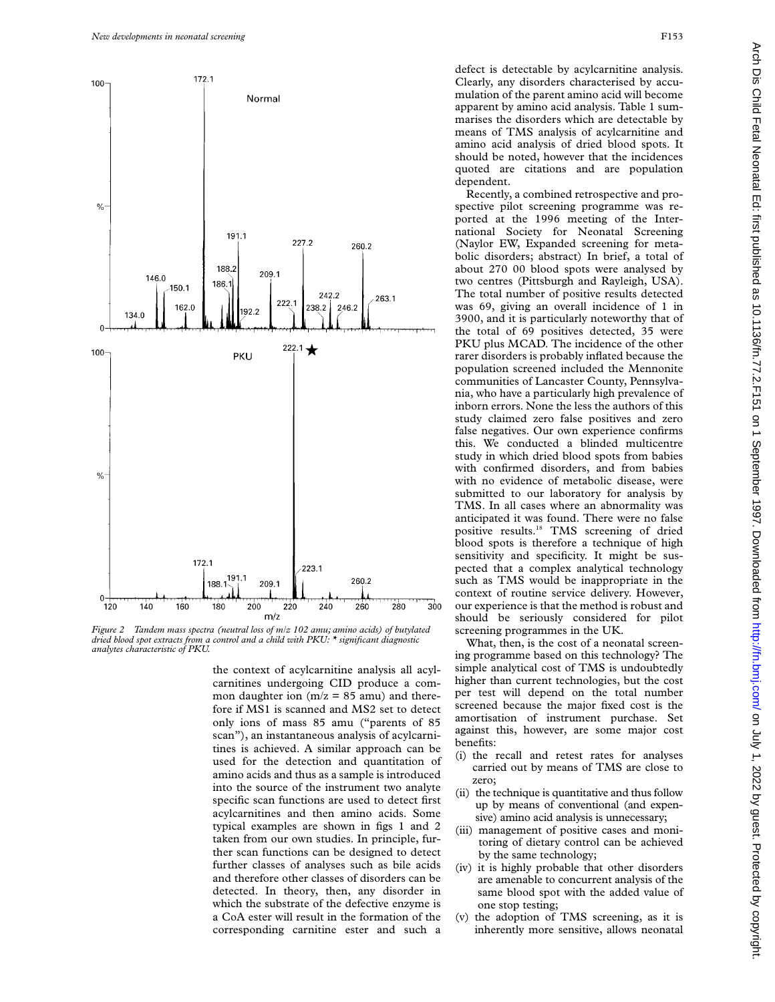

*Figure 2 Tandem mass spectra (neutral loss of m/z 102 amu; amino acids) of butylated dried blood spot extracts from a control and a child with PKU: \* significant diagnostic analytes characteristic of PKU.*

the context of acylcarnitine analysis all acylcarnitines undergoing CID produce a common daughter ion  $(m/z = 85$  amu) and therefore if MS1 is scanned and MS2 set to detect only ions of mass 85 amu ("parents of 85 scan"), an instantaneous analysis of acylcarnitines is achieved. A similar approach can be used for the detection and quantitation of amino acids and thus as a sample is introduced into the source of the instrument two analyte specific scan functions are used to detect first acylcarnitines and then amino acids. Some typical examples are shown in figs 1 and 2 taken from our own studies. In principle, further scan functions can be designed to detect further classes of analyses such as bile acids and therefore other classes of disorders can be detected. In theory, then, any disorder in which the substrate of the defective enzyme is a CoA ester will result in the formation of the corresponding carnitine ester and such a

Recently, a combined retrospective and prospective pilot screening programme was reported at the 1996 meeting of the International Society for Neonatal Screening (Naylor EW, Expanded screening for metabolic disorders; abstract) In brief, a total of about 270 00 blood spots were analysed by two centres (Pittsburgh and Rayleigh, USA). The total number of positive results detected was 69, giving an overall incidence of 1 in 3900, and it is particularly noteworthy that of the total of 69 positives detected, 35 were PKU plus MCAD. The incidence of the other rarer disorders is probably inflated because the population screened included the Mennonite communities of Lancaster County, Pennsylvania, who have a particularly high prevalence of inborn errors. None the less the authors of this study claimed zero false positives and zero false negatives. Our own experience confirms this. We conducted a blinded multicentre study in which dried blood spots from babies with confirmed disorders, and from babies with no evidence of metabolic disease, were submitted to our laboratory for analysis by TMS. In all cases where an abnormality was anticipated it was found. There were no false positive results.18 TMS screening of dried blood spots is therefore a technique of high sensitivity and specificity. It might be suspected that a complex analytical technology such as TMS would be inappropriate in the context of routine service delivery. However, our experience is that the method is robust and should be seriously considered for pilot screening programmes in the UK.

What, then, is the cost of a neonatal screening programme based on this technology? The simple analytical cost of TMS is undoubtedly higher than current technologies, but the cost per test will depend on the total number screened because the major fixed cost is the amortisation of instrument purchase. Set against this, however, are some major cost benefits:

- (i) the recall and retest rates for analyses carried out by means of TMS are close to zero;
- (ii) the technique is quantitative and thus follow up by means of conventional (and expensive) amino acid analysis is unnecessary;
- (iii) management of positive cases and monitoring of dietary control can be achieved by the same technology;
- (iv) it is highly probable that other disorders are amenable to concurrent analysis of the same blood spot with the added value of one stop testing;
- (v) the adoption of TMS screening, as it is inherently more sensitive, allows neonatal